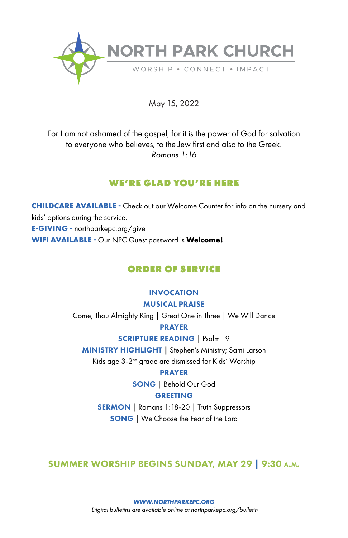

May 15, 2022

For I am not ashamed of the gospel, for it is the power of God for salvation to everyone who believes, to the Jew first and also to the Greek. *Romans 1:16*

## **WE'RE GLAD YOU'RE HERE**

**CHILDCARE AVAILABLE -** Check out our Welcome Counter for info on the nursery and kids' options during the service. **E-GIVING -** northparkepc.org/give **WIFI AVAILABLE -** Our NPC Guest password is **Welcome!**

# **ORDER OF SERVICE**

### INVOCATION MUSICAL PRAISE

Come, Thou Almighty King | Great One in Three | We Will Dance PRAYER

SCRIPTURE READING **|** Psalm 19

MINISTRY HIGHLIGHT **|** Stephen's Ministry; Sami Larson Kids age 3-2nd grade are dismissed for Kids' Worship

#### PRAYER

SONG | Behold Our God

## GREETING

SERMON | Romans 1:18-20 | Truth Suppressors SONG | We Choose the Fear of the Lord

# SUMMER WORSHIP BEGINS SUNDAY, MAY 29 | 9:30 a.m.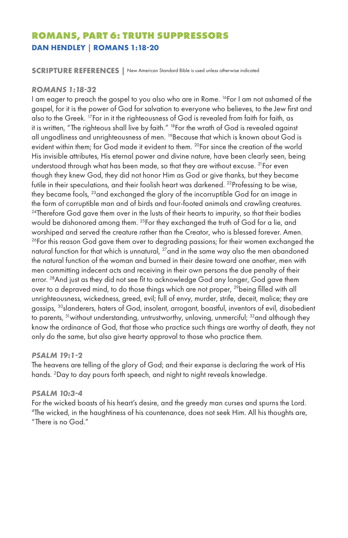# **ROMANS, PART 6: TRUTH SUPPRESSORS DAN HENDLEY | ROMANS 1:18-20**

**SCRIPTURE REFERENCES |** New American Standard Bible is used unless otherwise indicated

#### *ROMANS 1:18-32*

I am eager to preach the gospel to you also who are in Rome. 16For I am not ashamed of the gospel, for it is the power of God for salvation to everyone who believes, to the Jew first and also to the Greek. 17For in it the righteousness of God is revealed from faith for faith, as it is written, "The righteous shall live by faith." <sup>18</sup>For the wrath of God is revealed against all ungodliness and unrighteousness of men. <sup>19</sup> Because that which is known about God is evident within them; for God made it evident to them. <sup>20</sup>For since the creation of the world His invisible attributes, His eternal power and divine nature, have been clearly seen, being understood through what has been made, so that they are without excuse. <sup>21</sup> For even though they knew God, they did not honor Him as God or give thanks, but they became futile in their speculations, and their foolish heart was darkened. <sup>22</sup> Professing to be wise, they became fools, 23and exchanged the glory of the incorruptible God for an image in the form of corruptible man and of birds and four-footed animals and crawling creatures.  $24$ Therefore God gave them over in the lusts of their hearts to impurity, so that their bodies would be dishonored among them. <sup>25</sup>For they exchanged the truth of God for a lie, and worshiped and served the creature rather than the Creator, who is blessed forever. Amen.  $26$ For this reason God gave them over to degrading passions; for their women exchanged the natural function for that which is unnatural, <sup>27</sup>and in the same way also the men abandoned the natural function of the woman and burned in their desire toward one another, men with men committing indecent acts and receiving in their own persons the due penalty of their error. <sup>28</sup> And just as they did not see fit to acknowledge God any longer, God gave them over to a depraved mind, to do those things which are not proper, <sup>29</sup>being filled with all unrighteousness, wickedness, greed, evil; full of envy, murder, strife, deceit, malice; they are gossips, <sup>30</sup>slanderers, haters of God, insolent, arrogant, boastful, inventors of evil, disobedient to parents, <sup>31</sup> without understanding, untrustworthy, unloving, unmerciful; <sup>32</sup> and although they know the ordinance of God, that those who practice such things are worthy of death, they not only do the same, but also give hearty approval to those who practice them.

#### *PSALM 19:1-2*

The heavens are telling of the glory of God; and their expanse is declaring the work of His hands. 2 Day to day pours forth speech, and night to night reveals knowledge.

#### *PSALM 10:3-4*

For the wicked boasts of his heart's desire, and the greedy man curses and spurns the Lord. 4 The wicked, in the haughtiness of his countenance, does not seek Him. All his thoughts are, "There is no God."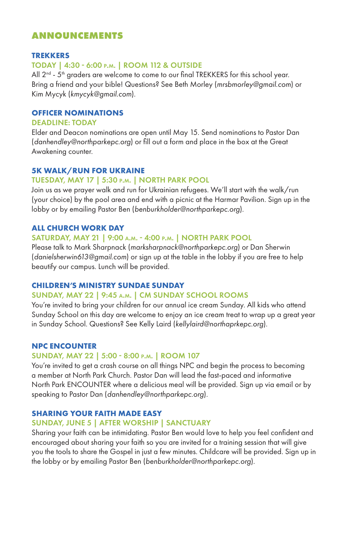## **ANNOUNCEMENTS**

## **TREKKERS**

#### TODAY | 4:30 - 6:00 p.m. | ROOM 112 & OUTSIDE

All 2<sup>nd</sup> - 5<sup>th</sup> graders are welcome to come to our final TREKKERS for this school year. Bring a friend and your bible! Questions? See Beth Morley (*mrsbmorley@gmail.com*) or Kim Mycyk (*kmycyk@gmail.com*).

#### **OFFICER NOMINATIONS**

#### DEADLINE: TODAY

Elder and Deacon nominations are open until May 15. Send nominations to Pastor Dan (*danhendley@northparkepc.org*) or fill out a form and place in the box at the Great Awakening counter.

### **5K WALK/RUN FOR UKRAINE**

## TUESDAY, MAY 17 | 5:30 p.m. | NORTH PARK POOL

Join us as we prayer walk and run for Ukrainian refugees. We'll start with the walk/run (your choice) by the pool area and end with a picnic at the Harmar Pavilion. Sign up in the lobby or by emailing Pastor Ben (*benburkholder@northparkepc.org*).

### **ALL CHURCH WORK DAY**

#### SATURDAY, MAY 21 | 9:00 a.m. - 4:00 p.m. | NORTH PARK POOL

Please talk to Mark Sharpnack (*marksharpnack@northparkepc.org*) or Dan Sherwin (*danielsherwin613@gmail.com*) or sign up at the table in the lobby if you are free to help beautify our campus. Lunch will be provided.

### **CHILDREN'S MINISTRY SUNDAE SUNDAY**

#### SUNDAY, MAY 22 | 9:45 a.m. | CM SUNDAY SCHOOL ROOMS

You're invited to bring your children for our annual ice cream Sunday. All kids who attend Sunday School on this day are welcome to enjoy an ice cream treat to wrap up a great year in Sunday School. Questions? See Kelly Laird (*kellylaird@northaprkepc.org*).

#### **NPC ENCOUNTER**

#### SUNDAY, MAY 22 | 5:00 - 8:00 p.m. | ROOM 107

You're invited to get a crash course on all things NPC and begin the process to becoming a member at North Park Church. Pastor Dan will lead the fast-paced and informative North Park ENCOUNTER where a delicious meal will be provided. Sign up via email or by speaking to Pastor Dan (*danhendley@northparkepc.org*).

### **SHARING YOUR FAITH MADE EASY**

#### SUNDAY, JUNE 5 | AFTER WORSHIP | SANCTUARY

Sharing your faith can be intimidating. Pastor Ben would love to help you feel confident and encouraged about sharing your faith so you are invited for a training session that will give you the tools to share the Gospel in just a few minutes. Childcare will be provided. Sign up in the lobby or by emailing Pastor Ben (*benburkholder@northparkepc.org*).